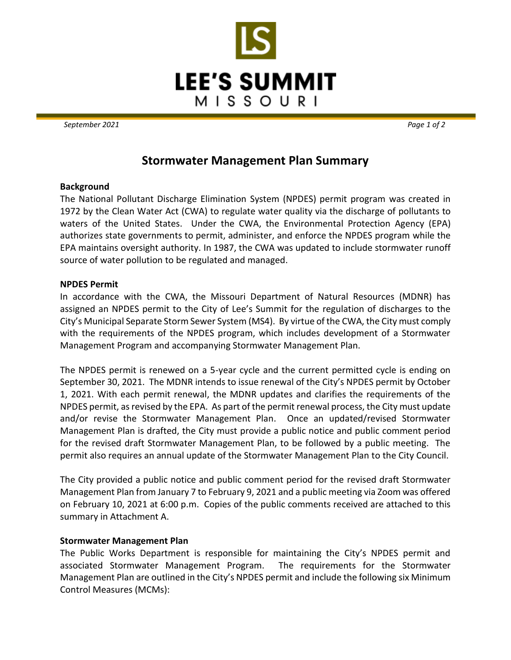

*September 2021 Page 1 of 2*

# **Stormwater Management Plan Summary**

## **Background**

The National Pollutant Discharge Elimination System (NPDES) permit program was created in 1972 by the Clean Water Act (CWA) to regulate water quality via the discharge of pollutants to waters of the United States. Under the CWA, the Environmental Protection Agency (EPA) authorizes state governments to permit, administer, and enforce the NPDES program while the EPA maintains oversight authority. In 1987, the CWA was updated to include stormwater runoff source of water pollution to be regulated and managed.

### **NPDES Permit**

In accordance with the CWA, the Missouri Department of Natural Resources (MDNR) has assigned an NPDES permit to the City of Lee's Summit for the regulation of discharges to the City's Municipal Separate Storm Sewer System (MS4). By virtue of the CWA, the City must comply with the requirements of the NPDES program, which includes development of a Stormwater Management Program and accompanying Stormwater Management Plan.

The NPDES permit is renewed on a 5-year cycle and the current permitted cycle is ending on September 30, 2021. The MDNR intends to issue renewal of the City's NPDES permit by October 1, 2021. With each permit renewal, the MDNR updates and clarifies the requirements of the NPDES permit, as revised by the EPA. As part of the permit renewal process, the City must update and/or revise the Stormwater Management Plan. Once an updated/revised Stormwater Management Plan is drafted, the City must provide a public notice and public comment period for the revised draft Stormwater Management Plan, to be followed by a public meeting. The permit also requires an annual update of the Stormwater Management Plan to the City Council.

The City provided a public notice and public comment period for the revised draft Stormwater Management Plan from January 7 to February 9, 2021 and a public meeting via Zoom was offered on February 10, 2021 at 6:00 p.m. Copies of the public comments received are attached to this summary in Attachment A.

## **Stormwater Management Plan**

The Public Works Department is responsible for maintaining the City's NPDES permit and associated Stormwater Management Program. The requirements for the Stormwater Management Plan are outlined in the City's NPDES permit and include the following six Minimum Control Measures (MCMs):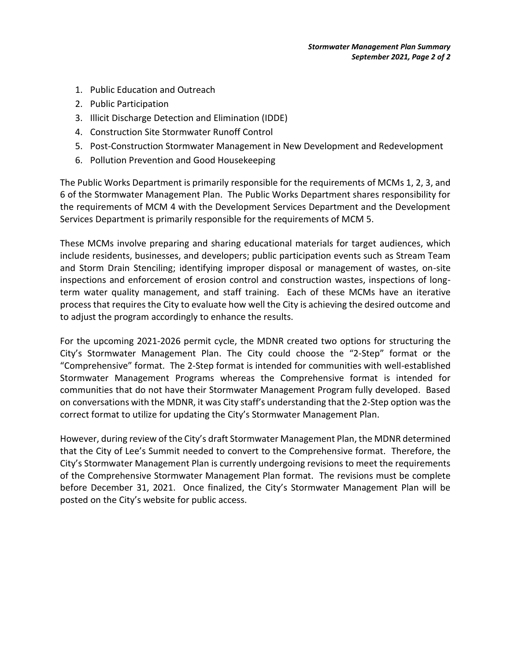- 1. Public Education and Outreach
- 2. Public Participation
- 3. Illicit Discharge Detection and Elimination (IDDE)
- 4. Construction Site Stormwater Runoff Control
- 5. Post-Construction Stormwater Management in New Development and Redevelopment
- 6. Pollution Prevention and Good Housekeeping

The Public Works Department is primarily responsible for the requirements of MCMs 1, 2, 3, and 6 of the Stormwater Management Plan. The Public Works Department shares responsibility for the requirements of MCM 4 with the Development Services Department and the Development Services Department is primarily responsible for the requirements of MCM 5.

These MCMs involve preparing and sharing educational materials for target audiences, which include residents, businesses, and developers; public participation events such as Stream Team and Storm Drain Stenciling; identifying improper disposal or management of wastes, on-site inspections and enforcement of erosion control and construction wastes, inspections of longterm water quality management, and staff training. Each of these MCMs have an iterative process that requires the City to evaluate how well the City is achieving the desired outcome and to adjust the program accordingly to enhance the results.

For the upcoming 2021-2026 permit cycle, the MDNR created two options for structuring the City's Stormwater Management Plan. The City could choose the "2-Step" format or the "Comprehensive" format. The 2-Step format is intended for communities with well-established Stormwater Management Programs whereas the Comprehensive format is intended for communities that do not have their Stormwater Management Program fully developed. Based on conversations with the MDNR, it was City staff's understanding that the 2-Step option was the correct format to utilize for updating the City's Stormwater Management Plan.

However, during review of the City's draft Stormwater Management Plan, the MDNR determined that the City of Lee's Summit needed to convert to the Comprehensive format. Therefore, the City's Stormwater Management Plan is currently undergoing revisions to meet the requirements of the Comprehensive Stormwater Management Plan format. The revisions must be complete before December 31, 2021. Once finalized, the City's Stormwater Management Plan will be posted on the City's website for public access.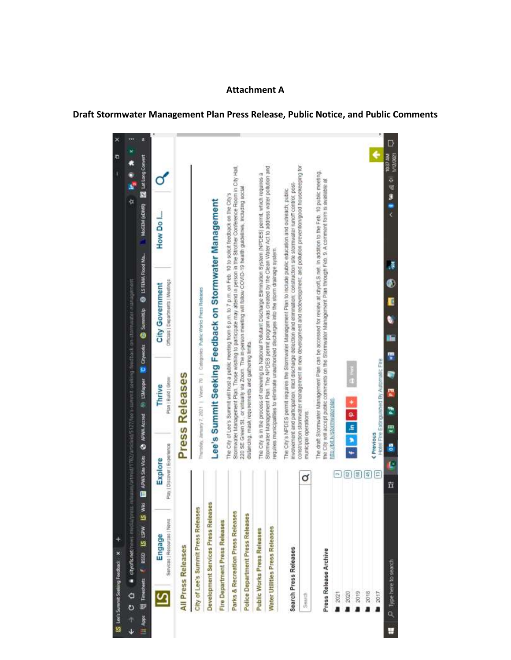## **Attachment A**

## **Draft Stormwater Management Plan Press Release, Public Notice, and Public Comments**

|           | IS Lee's Summit Seeking Feedback X           |                                        |                              |                                                                                       |                               |                                                     |                                                                                              |        |                           |                                                                                                                                                                                                                                                       |         | Ð                                    | × |
|-----------|----------------------------------------------|----------------------------------------|------------------------------|---------------------------------------------------------------------------------------|-------------------------------|-----------------------------------------------------|----------------------------------------------------------------------------------------------|--------|---------------------------|-------------------------------------------------------------------------------------------------------------------------------------------------------------------------------------------------------------------------------------------------------|---------|--------------------------------------|---|
| ↓         | diyofis.net/news-media/press-<br>o<br>o<br>7 |                                        |                              |                                                                                       |                               |                                                     | maniformed 1782/article@5127/non-cummit-seeking-feedsack-on-stormly-styl-manipolitical       |        |                           |                                                                                                                                                                                                                                                       | þ       |                                      | m |
| III Apps. | IS Wiki<br>El Timedretts # 8500 IS LSW       |                                        |                              |                                                                                       | <b>Silly Lin Mapper</b>       |                                                     | Cityworks @ Summitup                                                                         |        | <b>B</b> IS FEMA Flood Ma | MoGEM (eDMR) EX Lat Long Convert                                                                                                                                                                                                                      |         |                                      | Ŕ |
|           | Services   Resources   News<br>Engage        | Pay   Discover   Experience<br>Explore |                              |                                                                                       | Plan   Build   Grow<br>Thrive |                                                     | Officials   Departments   Meetings<br>City Government                                        |        |                           | How Do I.                                                                                                                                                                                                                                             |         |                                      |   |
|           | All Press Releases                           |                                        |                              |                                                                                       | Press Releases                |                                                     |                                                                                              |        |                           |                                                                                                                                                                                                                                                       |         |                                      |   |
|           | City of Lee's Summit Press Releases          |                                        |                              |                                                                                       |                               |                                                     | Thursday, Jamary 7, 2021   Views: 70   Categories: Public Works Press Releases               |        |                           |                                                                                                                                                                                                                                                       |         |                                      |   |
|           | Development Services Press Releases          |                                        |                              |                                                                                       |                               |                                                     |                                                                                              |        |                           | Lee's Summit Seeking Feedback on Stormwater Management                                                                                                                                                                                                |         |                                      |   |
|           | Fire Department Press Releases               |                                        |                              |                                                                                       |                               |                                                     |                                                                                              |        |                           |                                                                                                                                                                                                                                                       |         |                                      |   |
|           | Parks & Recreation Press Releases            |                                        |                              |                                                                                       |                               |                                                     |                                                                                              |        |                           | Stormwater Management Plan. Thuse wishing to participate may attend in person in the Strother Conference Room in City Hall.<br>The City of Lee's Summit will host a public meeting from 6 p.m. to 7 p.m. on Feb. 10 to solicit feedback on the City's |         |                                      |   |
|           | Police Department Press Releases             |                                        |                              |                                                                                       |                               | distancing, mask requirements and gathering limits. |                                                                                              |        |                           | 220 SE Green St., or virtually via Zoom. The in-person meeting will tullow COVID-19 health guidelines, including social                                                                                                                               |         |                                      |   |
|           | Public Works Press Releases                  |                                        |                              |                                                                                       |                               |                                                     |                                                                                              |        |                           | The City is in the process of renewing its National Pollutant Discharge Elimination System (NPDES) permit, which requires a                                                                                                                           |         |                                      |   |
|           | Water Utilities Press Releases               |                                        |                              |                                                                                       |                               |                                                     | requires municipalities to eliminate unauthorized discharges into the storm drainage system. |        |                           | Stermwater Management Plan. The NPDES permit program was created by the Clean Water Act to address water pollution and                                                                                                                                |         |                                      |   |
|           | Search Press Releases                        |                                        |                              |                                                                                       |                               |                                                     |                                                                                              |        |                           | involvement and participation; illicit discharge detection and elimination; construction site stommwater runoff control, post-<br>The City's NPDES permit requires the Stormwater Management Plan to Include public education and outreach; public    |         |                                      |   |
|           | Search                                       | σ                                      | municipal operations.        |                                                                                       |                               |                                                     |                                                                                              |        |                           | construction stormwater management in new dewelopment and redevelopment; and pollution prevention/good housekeeping for                                                                                                                               |         |                                      |   |
|           | Press Release Archive                        |                                        |                              |                                                                                       |                               |                                                     |                                                                                              |        |                           | The draft Stormwater Management Plan can be accessed for review at chyols S net. In addition to the Feb. 10 public meeting,<br>the City will accept public comments on the Stormwater Management Plan through Feb. 9. A comment form is available at  |         |                                      |   |
|           | 2021                                         |                                        | http://bit.ly/stormwaterplan |                                                                                       |                               |                                                     |                                                                                              |        |                           |                                                                                                                                                                                                                                                       |         |                                      |   |
|           | 2020                                         | 답                                      |                              | $\begin{array}{c c c c c c} \hline \bullet & \bullet & \bullet & \bullet \end{array}$ |                               |                                                     |                                                                                              |        |                           |                                                                                                                                                                                                                                                       |         |                                      |   |
|           | 2019                                         |                                        |                              |                                                                                       |                               |                                                     |                                                                                              |        |                           |                                                                                                                                                                                                                                                       |         |                                      |   |
|           | 2018                                         | ş                                      |                              |                                                                                       |                               |                                                     |                                                                                              |        |                           |                                                                                                                                                                                                                                                       |         |                                      |   |
|           | 2017<br>ä                                    | $\mathfrak{p}$                         | Previous                     |                                                                                       |                               | Hotel Fire Extinguished By Automatic Fire           |                                                                                              |        |                           |                                                                                                                                                                                                                                                       |         | ¢                                    |   |
| E         | D Type here to search                        | ħ                                      | ē<br>Ŀ                       | X.                                                                                    | 2                             |                                                     |                                                                                              | e<br>E |                           |                                                                                                                                                                                                                                                       | 小腹 細胞 く | <b>TOE ST AND</b><br><b>BARTISTS</b> |   |

u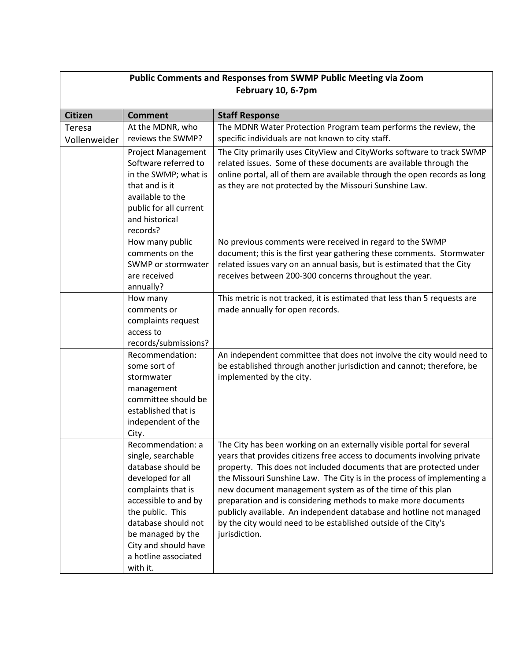|                |                           | <b>Public Comments and Responses from SWMP Public Meeting via Zoom</b>    |
|----------------|---------------------------|---------------------------------------------------------------------------|
|                |                           | February 10, 6-7pm                                                        |
|                |                           |                                                                           |
| <b>Citizen</b> | <b>Comment</b>            | <b>Staff Response</b>                                                     |
| Teresa         | At the MDNR, who          | The MDNR Water Protection Program team performs the review, the           |
| Vollenweider   | reviews the SWMP?         | specific individuals are not known to city staff.                         |
|                | <b>Project Management</b> | The City primarily uses CityView and CityWorks software to track SWMP     |
|                | Software referred to      | related issues. Some of these documents are available through the         |
|                | in the SWMP; what is      | online portal, all of them are available through the open records as long |
|                | that and is it            | as they are not protected by the Missouri Sunshine Law.                   |
|                | available to the          |                                                                           |
|                | public for all current    |                                                                           |
|                | and historical            |                                                                           |
|                | records?                  |                                                                           |
|                | How many public           | No previous comments were received in regard to the SWMP                  |
|                | comments on the           | document; this is the first year gathering these comments. Stormwater     |
|                | SWMP or stormwater        | related issues vary on an annual basis, but is estimated that the City    |
|                | are received              | receives between 200-300 concerns throughout the year.                    |
|                | annually?                 |                                                                           |
|                | How many                  | This metric is not tracked, it is estimated that less than 5 requests are |
|                | comments or               | made annually for open records.                                           |
|                | complaints request        |                                                                           |
|                | access to                 |                                                                           |
|                | records/submissions?      |                                                                           |
|                | Recommendation:           | An independent committee that does not involve the city would need to     |
|                | some sort of              | be established through another jurisdiction and cannot; therefore, be     |
|                | stormwater<br>management  | implemented by the city.                                                  |
|                | committee should be       |                                                                           |
|                | established that is       |                                                                           |
|                | independent of the        |                                                                           |
|                | City.                     |                                                                           |
|                | Recommendation: a         | The City has been working on an externally visible portal for several     |
|                | single, searchable        | years that provides citizens free access to documents involving private   |
|                | database should be        | property. This does not included documents that are protected under       |
|                | developed for all         | the Missouri Sunshine Law. The City is in the process of implementing a   |
|                | complaints that is        | new document management system as of the time of this plan                |
|                | accessible to and by      | preparation and is considering methods to make more documents             |
|                | the public. This          | publicly available. An independent database and hotline not managed       |
|                | database should not       | by the city would need to be established outside of the City's            |
|                | be managed by the         | jurisdiction.                                                             |
|                | City and should have      |                                                                           |
|                | a hotline associated      |                                                                           |
|                | with it.                  |                                                                           |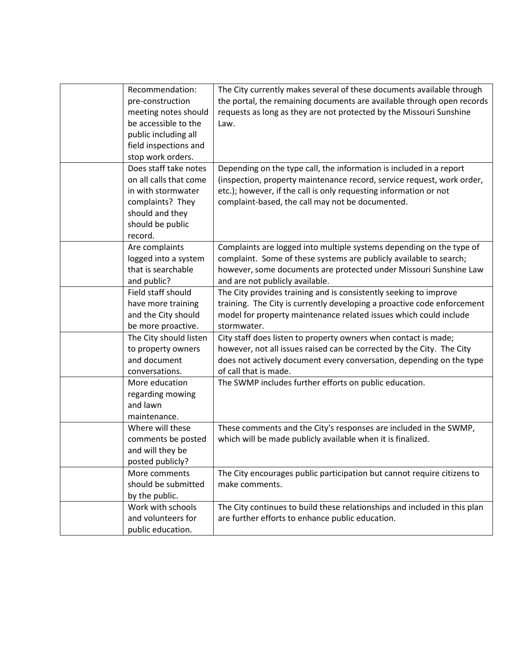| Recommendation:<br>pre-construction<br>meeting notes should<br>be accessible to the<br>public including all<br>field inspections and<br>stop work orders. | The City currently makes several of these documents available through<br>the portal, the remaining documents are available through open records<br>requests as long as they are not protected by the Missouri Sunshine<br>Law.                                         |
|-----------------------------------------------------------------------------------------------------------------------------------------------------------|------------------------------------------------------------------------------------------------------------------------------------------------------------------------------------------------------------------------------------------------------------------------|
| Does staff take notes<br>on all calls that come<br>in with stormwater<br>complaints? They<br>should and they<br>should be public<br>record.               | Depending on the type call, the information is included in a report<br>(inspection, property maintenance record, service request, work order,<br>etc.); however, if the call is only requesting information or not<br>complaint-based, the call may not be documented. |
| Are complaints<br>logged into a system<br>that is searchable<br>and public?                                                                               | Complaints are logged into multiple systems depending on the type of<br>complaint. Some of these systems are publicly available to search;<br>however, some documents are protected under Missouri Sunshine Law<br>and are not publicly available.                     |
| Field staff should<br>have more training<br>and the City should<br>be more proactive.                                                                     | The City provides training and is consistently seeking to improve<br>training. The City is currently developing a proactive code enforcement<br>model for property maintenance related issues which could include<br>stormwater.                                       |
| The City should listen<br>to property owners<br>and document<br>conversations.                                                                            | City staff does listen to property owners when contact is made;<br>however, not all issues raised can be corrected by the City. The City<br>does not actively document every conversation, depending on the type<br>of call that is made.                              |
| More education<br>regarding mowing<br>and lawn<br>maintenance.                                                                                            | The SWMP includes further efforts on public education.                                                                                                                                                                                                                 |
| Where will these<br>comments be posted<br>and will they be<br>posted publicly?                                                                            | These comments and the City's responses are included in the SWMP,<br>which will be made publicly available when it is finalized.                                                                                                                                       |
| More comments<br>should be submitted<br>by the public.                                                                                                    | The City encourages public participation but cannot require citizens to<br>make comments.                                                                                                                                                                              |
| Work with schools<br>and volunteers for<br>public education.                                                                                              | The City continues to build these relationships and included in this plan<br>are further efforts to enhance public education.                                                                                                                                          |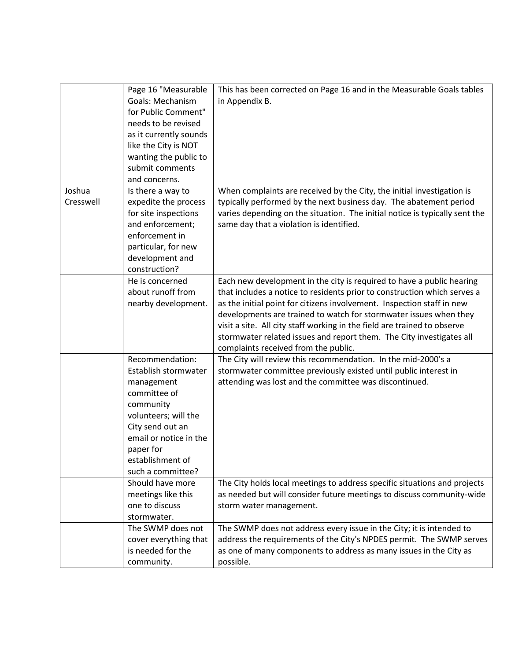|           | Page 16 "Measurable     | This has been corrected on Page 16 and in the Measurable Goals tables       |
|-----------|-------------------------|-----------------------------------------------------------------------------|
|           | <b>Goals: Mechanism</b> | in Appendix B.                                                              |
|           | for Public Comment"     |                                                                             |
|           | needs to be revised     |                                                                             |
|           | as it currently sounds  |                                                                             |
|           | like the City is NOT    |                                                                             |
|           | wanting the public to   |                                                                             |
|           | submit comments         |                                                                             |
|           | and concerns.           |                                                                             |
| Joshua    | Is there a way to       | When complaints are received by the City, the initial investigation is      |
| Cresswell | expedite the process    | typically performed by the next business day. The abatement period          |
|           | for site inspections    | varies depending on the situation. The initial notice is typically sent the |
|           | and enforcement;        | same day that a violation is identified.                                    |
|           | enforcement in          |                                                                             |
|           | particular, for new     |                                                                             |
|           | development and         |                                                                             |
|           | construction?           |                                                                             |
|           | He is concerned         | Each new development in the city is required to have a public hearing       |
|           | about runoff from       | that includes a notice to residents prior to construction which serves a    |
|           | nearby development.     | as the initial point for citizens involvement. Inspection staff in new      |
|           |                         | developments are trained to watch for stormwater issues when they           |
|           |                         | visit a site. All city staff working in the field are trained to observe    |
|           |                         | stormwater related issues and report them. The City investigates all        |
|           |                         | complaints received from the public.                                        |
|           | Recommendation:         | The City will review this recommendation. In the mid-2000's a               |
|           | Establish stormwater    | stormwater committee previously existed until public interest in            |
|           | management              | attending was lost and the committee was discontinued.                      |
|           | committee of            |                                                                             |
|           | community               |                                                                             |
|           | volunteers; will the    |                                                                             |
|           | City send out an        |                                                                             |
|           | email or notice in the  |                                                                             |
|           | paper for               |                                                                             |
|           | establishment of        |                                                                             |
|           | such a committee?       |                                                                             |
|           | Should have more        | The City holds local meetings to address specific situations and projects   |
|           | meetings like this      | as needed but will consider future meetings to discuss community-wide       |
|           | one to discuss          | storm water management.                                                     |
|           | stormwater.             |                                                                             |
|           | The SWMP does not       | The SWMP does not address every issue in the City; it is intended to        |
|           | cover everything that   | address the requirements of the City's NPDES permit. The SWMP serves        |
|           | is needed for the       | as one of many components to address as many issues in the City as          |
|           | community.              | possible.                                                                   |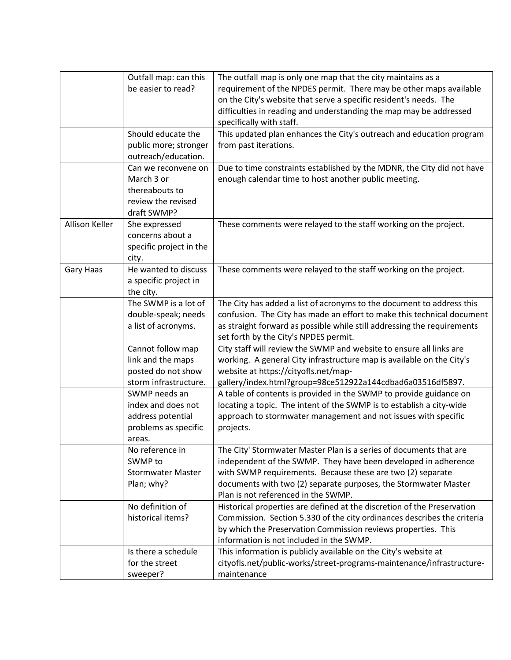|                | Outfall map: can this<br>be easier to read?                                                | The outfall map is only one map that the city maintains as a<br>requirement of the NPDES permit. There may be other maps available<br>on the City's website that serve a specific resident's needs. The<br>difficulties in reading and understanding the map may be addressed<br>specifically with staff.    |
|----------------|--------------------------------------------------------------------------------------------|--------------------------------------------------------------------------------------------------------------------------------------------------------------------------------------------------------------------------------------------------------------------------------------------------------------|
|                | Should educate the<br>public more; stronger<br>outreach/education.                         | This updated plan enhances the City's outreach and education program<br>from past iterations.                                                                                                                                                                                                                |
|                | Can we reconvene on<br>March 3 or<br>thereabouts to<br>review the revised<br>draft SWMP?   | Due to time constraints established by the MDNR, the City did not have<br>enough calendar time to host another public meeting.                                                                                                                                                                               |
| Allison Keller | She expressed<br>concerns about a<br>specific project in the<br>city.                      | These comments were relayed to the staff working on the project.                                                                                                                                                                                                                                             |
| Gary Haas      | He wanted to discuss<br>a specific project in<br>the city.                                 | These comments were relayed to the staff working on the project.                                                                                                                                                                                                                                             |
|                | The SWMP is a lot of<br>double-speak; needs<br>a list of acronyms.                         | The City has added a list of acronyms to the document to address this<br>confusion. The City has made an effort to make this technical document<br>as straight forward as possible while still addressing the requirements<br>set forth by the City's NPDES permit.                                          |
|                | Cannot follow map<br>link and the maps<br>posted do not show<br>storm infrastructure.      | City staff will review the SWMP and website to ensure all links are<br>working. A general City infrastructure map is available on the City's<br>website at https://cityofls.net/map-<br>gallery/index.html?group=98ce512922a144cdbad6a03516df5897.                                                           |
|                | SWMP needs an<br>index and does not<br>address potential<br>problems as specific<br>areas. | A table of contents is provided in the SWMP to provide guidance on<br>locating a topic. The intent of the SWMP is to establish a city-wide<br>approach to stormwater management and not issues with specific<br>projects.                                                                                    |
|                | No reference in<br>SWMP to<br><b>Stormwater Master</b><br>Plan; why?                       | The City' Stormwater Master Plan is a series of documents that are<br>independent of the SWMP. They have been developed in adherence<br>with SWMP requirements. Because these are two (2) separate<br>documents with two (2) separate purposes, the Stormwater Master<br>Plan is not referenced in the SWMP. |
|                | No definition of<br>historical items?                                                      | Historical properties are defined at the discretion of the Preservation<br>Commission. Section 5.330 of the city ordinances describes the criteria<br>by which the Preservation Commission reviews properties. This<br>information is not included in the SWMP.                                              |
|                | Is there a schedule<br>for the street<br>sweeper?                                          | This information is publicly available on the City's website at<br>cityofls.net/public-works/street-programs-maintenance/infrastructure-<br>maintenance                                                                                                                                                      |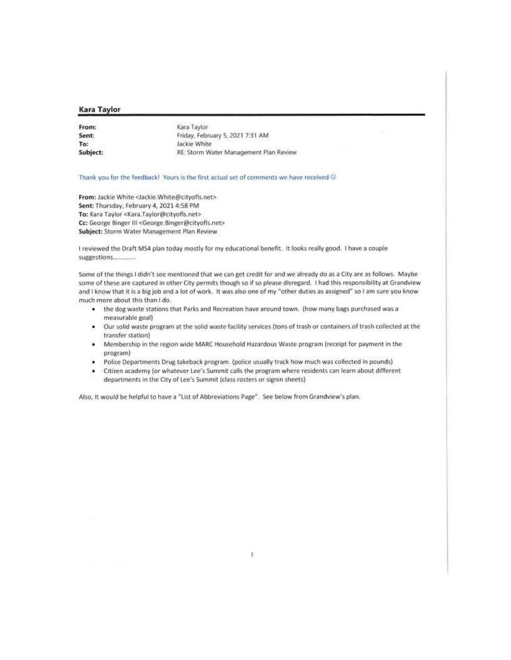#### **Kara Taylor**

| From:    | Kara Taylor                            |
|----------|----------------------------------------|
| Sent     | Friday, February 5, 2021 7:31 AM       |
| To:      | Jackie White                           |
| Subject: | RE: Storm Water Management Plan Review |

#### Thank you for the feedback! Yours is the first actual set of comments we have received @

From: Jackie White <Jackie.White@cityofls.net> Sent: Thursday, February 4, 2021 4:58 PM To: Kara Taylor <Kara.Taylor@cityofis.net> Cc: George Binger III <George.Binger@cityofls.net> Subject: Storm Water Management Plan Review

I reviewed the Draft MS4 plan today mostly for my educational benefit. It looks really good. I have a couple suggestions..............

Some of the things I didn't see mentioned that we can get credit for and we already do as a City are as follows. Maybe some of these are captured in other City permits though so if so please disregard. I had this responsibility at Grandview and I know that it is a big job and a lot of work. It was also one of my "other duties as assigned" so I am sure you know much more about this than I do.

- . the dog waste stations that Parks and Recreation have around town. (how many bags purchased was a measurable goal)
- Our solid waste program at the solid waste facility services (tons of trash or containers of trash collected at the ٠ transfer station)
- . Membership in the region wide MARC Household Hazardous Waste program (receipt for payment in the program)
- Police Departments Drug takeback program. (police usually track how much was collected in pounds) ٠
- ٠ Citizen academy (or whatever Lee's Summit calls the program where residents can learn about different departments in the City of Lee's Summit (class rosters or signin sheets)

Also, It would be helpful to have a "List of Abbreviations Page". See below from Grandview's plan.